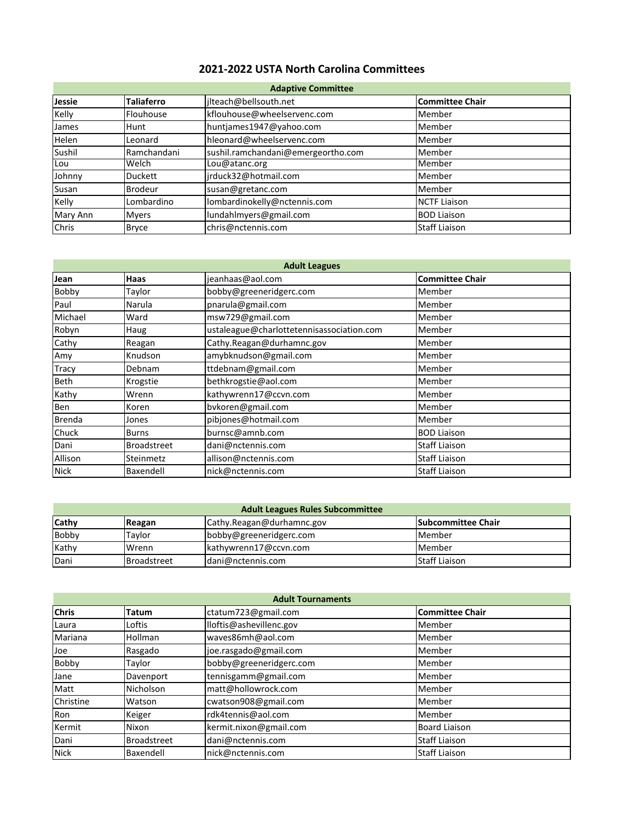## **2021-2022 USTA North Carolina Committees**

| <b>Adaptive Committee</b> |                |                                    |                        |
|---------------------------|----------------|------------------------------------|------------------------|
| Jessie                    | Taliaferro     | jlteach@bellsouth.net              | <b>Committee Chair</b> |
| Kelly                     | Flouhouse      | kflouhouse@wheelservenc.com        | Member                 |
| James                     | Hunt           | huntjames1947@yahoo.com            | Member                 |
| Helen                     | Leonard        | hleonard@wheelservenc.com          | Member                 |
| Sushil                    | Ramchandani    | sushil.ramchandani@emergeortho.com | Member                 |
| Lou                       | Welch          | Lou@atanc.org                      | Member                 |
| Johnny                    | <b>Duckett</b> | jrduck32@hotmail.com               | Member                 |
| Susan                     | <b>Brodeur</b> | susan@gretanc.com                  | Member                 |
| Kelly                     | Lombardino     | lombardinokelly@nctennis.com       | <b>NCTF Liaison</b>    |
| Mary Ann                  | <b>Myers</b>   | lundahlmyers@gmail.com             | <b>BOD Liaison</b>     |
| <b>Chris</b>              | <b>Bryce</b>   | chris@nctennis.com                 | <b>Staff Liaison</b>   |

| <b>Adult Leagues</b> |                    |                                           |                        |
|----------------------|--------------------|-------------------------------------------|------------------------|
| Jean                 | Haas               | jeanhaas@aol.com                          | <b>Committee Chair</b> |
| Bobby                | Taylor             | bobby@greeneridgerc.com                   | Member                 |
| Paul                 | Narula             | pnarula@gmail.com                         | Member                 |
| Michael              | Ward               | msw729@gmail.com                          | Member                 |
| Robyn                | Haug               | ustaleague@charlottetennisassociation.com | Member                 |
| Cathy                | Reagan             | Cathy.Reagan@durhamnc.gov                 | Member                 |
| Amy                  | Knudson            | amybknudson@gmail.com                     | Member                 |
| <b>Tracy</b>         | Debnam             | ttdebnam@gmail.com                        | Member                 |
| Beth                 | Krogstie           | bethkrogstie@aol.com                      | Member                 |
| Kathy                | Wrenn              | kathywrenn17@ccvn.com                     | Member                 |
| Ben                  | Koren              | bvkoren@gmail.com                         | Member                 |
| Brenda               | Jones              | pibjones@hotmail.com                      | Member                 |
| Chuck                | <b>Burns</b>       | burnsc@amnb.com                           | <b>BOD Liaison</b>     |
| Dani                 | <b>Broadstreet</b> | dani@nctennis.com                         | <b>Staff Liaison</b>   |
| Allison              | Steinmetz          | allison@nctennis.com                      | <b>Staff Liaison</b>   |
| <b>Nick</b>          | Baxendell          | nick@nctennis.com                         | <b>Staff Liaison</b>   |

| <b>Adult Leagues Rules Subcommittee</b> |                    |                           |                            |
|-----------------------------------------|--------------------|---------------------------|----------------------------|
| <b>Cathy</b>                            | Reagan             | Cathy.Reagan@durhamnc.gov | <b>ISubcommittee Chair</b> |
| <b>Bobby</b>                            | Tavlor             | bobby@greeneridgerc.com   | <b>Member</b>              |
| Kathy                                   | Wrenn              | kathywrenn17@ccvn.com     | Member                     |
| Dani                                    | <b>Broadstreet</b> | dani@nctennis.com         | <b>Staff Liaison</b>       |

| <b>Adult Tournaments</b> |              |                         |                        |
|--------------------------|--------------|-------------------------|------------------------|
| <b>Chris</b>             | <b>Tatum</b> | ctatum723@gmail.com     | <b>Committee Chair</b> |
| Laura                    | Loftis       | lloftis@ashevillenc.gov | Member                 |
| Mariana                  | Hollman      | waves86mh@aol.com       | Member                 |
| Joe                      | Rasgado      | joe.rasgado@gmail.com   | Member                 |
| Bobby                    | Taylor       | bobby@greeneridgerc.com | Member                 |
| Jane                     | Davenport    | tennisgamm@gmail.com    | Member                 |
| Matt                     | Nicholson    | matt@hollowrock.com     | Member                 |
| Christine                | Watson       | cwatson908@gmail.com    | Member                 |
| Ron                      | Keiger       | rdk4tennis@aol.com      | Member                 |
| Kermit                   | Nixon        | kermit.nixon@gmail.com  | <b>Board Liaison</b>   |
| Dani                     | Broadstreet  | dani@nctennis.com       | <b>Staff Liaison</b>   |
| <b>Nick</b>              | Baxendell    | nick@nctennis.com       | <b>Staff Liaison</b>   |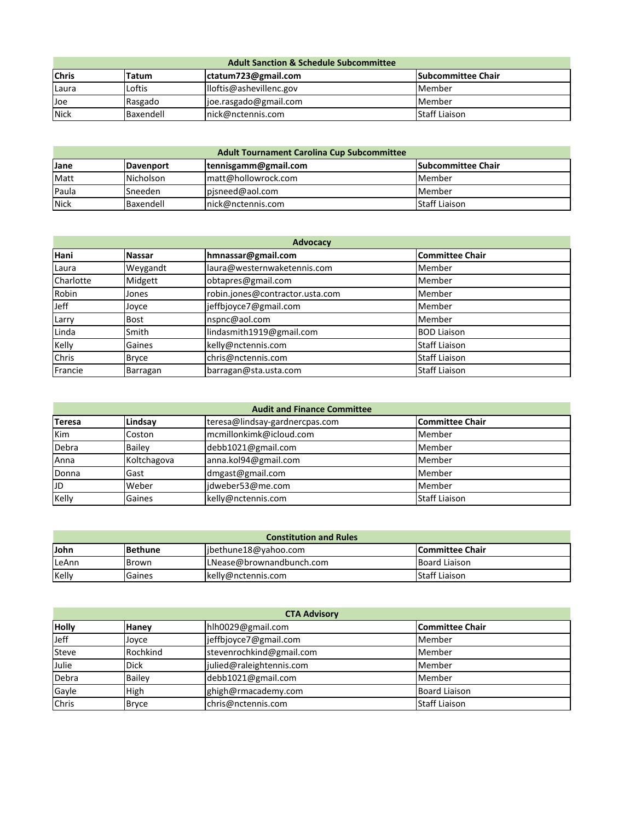| <b>Adult Sanction &amp; Schedule Subcommittee</b> |           |                         |                            |
|---------------------------------------------------|-----------|-------------------------|----------------------------|
| <b>Chris</b>                                      | Tatum     | ctatum723@gmail.com     | <b>ISubcommittee Chair</b> |
| Laura                                             | Loftis    | lloftis@ashevillenc.gov | Member                     |
| Joe                                               | Rasgado   | joe.rasgado@gmail.com   | Member                     |
| <b>Nick</b>                                       | Baxendell | Inick@nctennis.com      | <b>Staff Liaison</b>       |

| <b>Adult Tournament Carolina Cup Subcommittee</b> |                  |                      |                           |
|---------------------------------------------------|------------------|----------------------|---------------------------|
| Jane                                              | <b>Davenport</b> | tennisgamm@gmail.com | <b>Subcommittee Chair</b> |
| Matt                                              | <b>Nicholson</b> | matt@hollowrock.com  | Member                    |
| Paula                                             | lSneeden         | pisneed@aol.com      | Member                    |
| <b>Nick</b>                                       | Baxendell        | Inick@nctennis.com   | <b>Staff Liaison</b>      |

| <b>Advocacy</b> |              |                                 |                        |
|-----------------|--------------|---------------------------------|------------------------|
| Hani            | Nassar       | hmnassar@gmail.com              | <b>Committee Chair</b> |
| Laura           | Weygandt     | laura@westernwaketennis.com     | Member                 |
| Charlotte       | Midgett      | obtapres@gmail.com              | Member                 |
| Robin           | Jones        | robin.jones@contractor.usta.com | Member                 |
| Jeff            | Joyce        | jeffbjoyce7@gmail.com           | Member                 |
| Larry           | <b>Bost</b>  | nspnc@aol.com                   | Member                 |
| Linda           | Smith        | lindasmith1919@gmail.com        | <b>BOD Liaison</b>     |
| Kelly           | Gaines       | kelly@nctennis.com              | <b>Staff Liaison</b>   |
| Chris           | <b>Bryce</b> | chris@nctennis.com              | <b>Staff Liaison</b>   |
| Francie         | Barragan     | barragan@sta.usta.com           | <b>Staff Liaison</b>   |

| <b>Audit and Finance Committee</b> |             |                                |                        |
|------------------------------------|-------------|--------------------------------|------------------------|
| Teresa                             | Lindsav     | teresa@lindsay-gardnercpas.com | <b>Committee Chair</b> |
| <b>Kim</b>                         | Coston      | mcmillonkimk@icloud.com        | Member                 |
| Debra                              | Bailey      | debb1021@gmail.com             | Member                 |
| Anna                               | Koltchagova | anna.kol94@gmail.com           | Member                 |
| Donna                              | Gast        | dmgast@gmail.com               | Member                 |
| JD                                 | Weber       | idweber53@me.com               | Member                 |
| Kelly                              | Gaines      | kelly@nctennis.com             | <b>Staff Liaison</b>   |

| <b>Constitution and Rules</b> |                 |                          |                      |
|-------------------------------|-----------------|--------------------------|----------------------|
| <b>John</b>                   | <b>IBethune</b> | libethune18@yahoo.com    | lCommittee Chair     |
| LeAnn                         | Brown           | LNease@brownandbunch.com | <b>Board Liaison</b> |
| Kelly                         | Gaines          | kelly@nctennis.com       | <b>Staff Liaison</b> |

| <b>CTA Advisory</b> |               |                          |                      |
|---------------------|---------------|--------------------------|----------------------|
| <b>Holly</b>        | Hanev         | hlh0029@gmail.com        | Committee Chair      |
| Jeff                | Joyce         | jeffbjoyce7@gmail.com    | Member               |
| Steve               | Rochkind      | stevenrochkind@gmail.com | Member               |
| Julie               | Dick          | julied@raleightennis.com | Member               |
| Debra               | <b>Bailev</b> | debb1021@gmail.com       | Member               |
| Gayle               | High          | ghigh@rmacademy.com      | <b>Board Liaison</b> |
| Chris               | <b>Bryce</b>  | chris@nctennis.com       | <b>Staff Liaison</b> |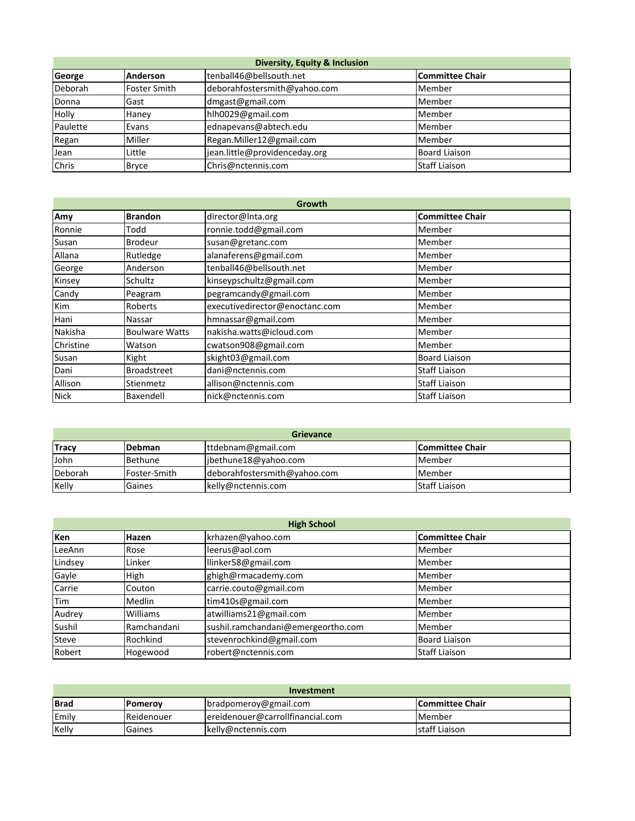| <b>Diversity, Equity &amp; Inclusion</b> |                     |                               |                        |
|------------------------------------------|---------------------|-------------------------------|------------------------|
| George                                   | Anderson            | tenball46@bellsouth.net       | <b>Committee Chair</b> |
| Deborah                                  | <b>Foster Smith</b> | deborahfostersmith@yahoo.com  | Member                 |
| Donna                                    | Gast                | dmgast@gmail.com              | Member                 |
| Holly                                    | Haney               | hlh0029@gmail.com             | Member                 |
| Paulette                                 | Evans               | ednapevans@abtech.edu         | Member                 |
| Regan                                    | Miller              | Regan.Miller12@gmail.com      | Member                 |
| Jean                                     | Little              | jean.little@providenceday.org | <b>Board Liaison</b>   |
| Chris                                    | <b>Bryce</b>        | Chris@nctennis.com            | <b>Staff Liaison</b>   |

| Growth      |                       |                                |                        |
|-------------|-----------------------|--------------------------------|------------------------|
| Amy         | <b>Brandon</b>        | director@Inta.org              | <b>Committee Chair</b> |
| Ronnie      | Todd                  | ronnie.todd@gmail.com          | Member                 |
| Susan       | Brodeur               | susan@gretanc.com              | Member                 |
| Allana      | Rutledge              | alanaferens@gmail.com          | Member                 |
| George      | Anderson              | tenball46@bellsouth.net        | Member                 |
| Kinsey      | Schultz               | kinseypschultz@gmail.com       | Member                 |
| Candy       | Peagram               | pegramcandy@gmail.com          | Member                 |
| Kim         | Roberts               | executivedirector@enoctanc.com | Member                 |
| Hani        | Nassar                | hmnassar@gmail.com             | Member                 |
| Nakisha     | <b>Boulware Watts</b> | nakisha.watts@icloud.com       | Member                 |
| Christine   | Watson                | cwatson908@gmail.com           | Member                 |
| Susan       | Kight                 | skight03@gmail.com             | <b>Board Liaison</b>   |
| Dani        | <b>Broadstreet</b>    | dani@nctennis.com              | <b>Staff Liaison</b>   |
| Allison     | Stienmetz             | allison@nctennis.com           | <b>Staff Liaison</b>   |
| <b>Nick</b> | Baxendell             | nick@nctennis.com              | <b>Staff Liaison</b>   |

| <b>Grievance</b> |              |                              |                      |
|------------------|--------------|------------------------------|----------------------|
| <b>Tracy</b>     | Debman       | ttdebnam@gmail.com           | Committee Chair      |
| <b>John</b>      | Bethune      | jbethune18@yahoo.com         | Member               |
| Deborah          | Foster-Smith | deborahfostersmith@yahoo.com | <b>Member</b>        |
| Kelly            | Gaines       | kelly@nctennis.com           | <b>Staff Liaison</b> |

| <b>High School</b> |                 |                                    |                        |
|--------------------|-----------------|------------------------------------|------------------------|
| Ken                | Hazen           | krhazen@yahoo.com                  | <b>Committee Chair</b> |
| LeeAnn             | Rose            | leerus@aol.com                     | Member                 |
| Lindsey            | Linker          | llinker58@gmail.com                | Member                 |
| Gayle              | High            | ghigh@rmacademy.com                | Member                 |
| Carrie             | Couton          | carrie.couto@gmail.com             | Member                 |
| <b>Tim</b>         | Medlin          | tim410s@gmail.com                  | Member                 |
| Audrey             | <b>Williams</b> | atwilliams21@gmail.com             | Member                 |
| Sushil             | Ramchandani     | sushil.ramchandani@emergeortho.com | Member                 |
| <b>Steve</b>       | Rochkind        | stevenrochkind@gmail.com           | <b>Board Liaison</b>   |
| Robert             | Hogewood        | robert@nctennis.com                | <b>Staff Liaison</b>   |

| Investment  |                 |                                  |                        |
|-------------|-----------------|----------------------------------|------------------------|
| <b>Brad</b> | <b>IPomerov</b> | bradpomeroy@gmail.com            | <b>Committee Chair</b> |
| Emily       | Reidenouer      | ereidenouer@carrollfinancial.com | <b>Member</b>          |
| Kelly       | Gaines          | kelly@nctennis.com               | staff Liaison          |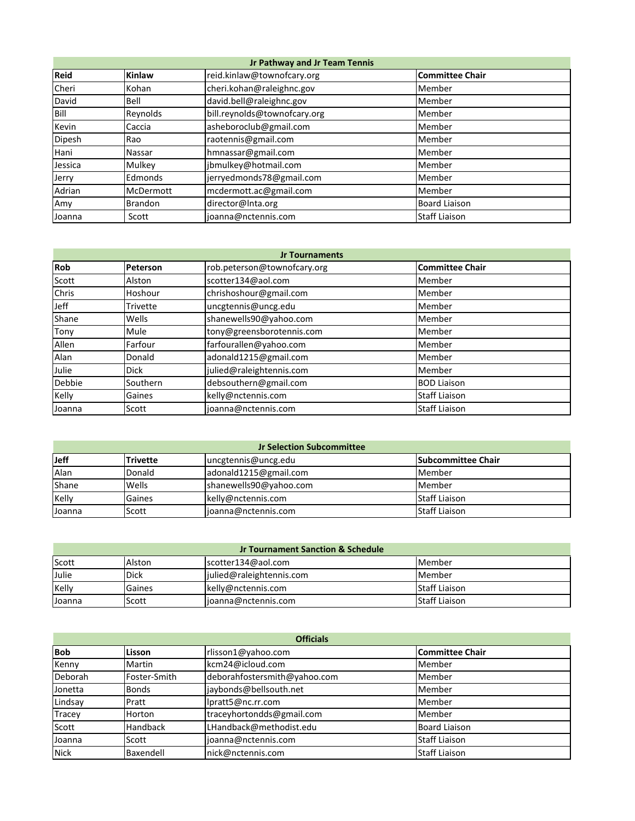| Jr Pathway and Jr Team Tennis |                |                              |                        |  |
|-------------------------------|----------------|------------------------------|------------------------|--|
| Reid                          | Kinlaw         | reid.kinlaw@townofcary.org   | <b>Committee Chair</b> |  |
| Cheri                         | Kohan          | cheri.kohan@raleighnc.gov    | Member                 |  |
| David                         | Bell           | david.bell@raleighnc.gov     | Member                 |  |
| Bill                          | Reynolds       | bill.reynolds@townofcary.org | Member                 |  |
| Kevin                         | Caccia         | asheboroclub@gmail.com       | Member                 |  |
| Dipesh                        | Rao            | raotennis@gmail.com          | Member                 |  |
| Hani                          | Nassar         | hmnassar@gmail.com           | Member                 |  |
| Jessica                       | Mulkey         | jbmulkey@hotmail.com         | Member                 |  |
| Jerry                         | Edmonds        | jerryedmonds78@gmail.com     | Member                 |  |
| Adrian                        | McDermott      | mcdermott.ac@gmail.com       | Member                 |  |
| Amy                           | <b>Brandon</b> | director@Inta.org            | <b>Board Liaison</b>   |  |
| Joanna                        | Scott          | joanna@nctennis.com          | <b>Staff Liaison</b>   |  |

| <b>Jr Tournaments</b> |          |                             |                        |
|-----------------------|----------|-----------------------------|------------------------|
| Rob                   | Peterson | rob.peterson@townofcary.org | <b>Committee Chair</b> |
| Scott                 | Alston   | scotter134@aol.com          | Member                 |
| Chris                 | Hoshour  | chrishoshour@gmail.com      | Member                 |
| Jeff                  | Trivette | uncgtennis@uncg.edu         | Member                 |
| Shane                 | Wells    | shanewells90@yahoo.com      | Member                 |
| Tony                  | Mule     | tony@greensborotennis.com   | Member                 |
| Allen                 | Farfour  | farfourallen@yahoo.com      | Member                 |
| Alan                  | Donald   | adonald1215@gmail.com       | Member                 |
| Julie                 | Dick     | julied@raleightennis.com    | Member                 |
| Debbie                | Southern | debsouthern@gmail.com       | <b>BOD Liaison</b>     |
| Kelly                 | Gaines   | kelly@nctennis.com          | <b>Staff Liaison</b>   |
| Joanna                | Scott    | joanna@nctennis.com         | <b>Staff Liaison</b>   |

| <b>Jr Selection Subcommittee</b> |                 |                        |                           |
|----------------------------------|-----------------|------------------------|---------------------------|
| Jeff                             | <b>Trivette</b> | uncgtennis@uncg.edu    | <b>Subcommittee Chair</b> |
| Alan                             | Donald          | adonald1215@gmail.com  | Member                    |
| Shane                            | Wells           | shanewells90@yahoo.com | Member                    |
| Kelly                            | Gaines          | kelly@nctennis.com     | <b>Staff Liaison</b>      |
| Joanna                           | Scott           | joanna@nctennis.com    | <b>Staff Liaison</b>      |

| <b>Jr Tournament Sanction &amp; Schedule</b> |             |                          |                      |
|----------------------------------------------|-------------|--------------------------|----------------------|
| Scott                                        | Alston      | scotter134@aol.com       | <b>Member</b>        |
| Julie                                        | <b>Dick</b> | julied@raleightennis.com | Member               |
| Kelly                                        | Gaines      | kelly@nctennis.com       | Staff Liaison        |
| Joanna                                       | Scott       | joanna@nctennis.com      | <b>Staff Liaison</b> |

| <b>Officials</b> |              |                              |                        |
|------------------|--------------|------------------------------|------------------------|
| <b>Bob</b>       | Lisson       | rlisson1@yahoo.com           | <b>Committee Chair</b> |
| Kenny            | Martin       | kcm24@icloud.com             | Member                 |
| Deborah          | Foster-Smith | deborahfostersmith@yahoo.com | Member                 |
| Jonetta          | <b>Bonds</b> | jaybonds@bellsouth.net       | Member                 |
| Lindsay          | Pratt        | lpratt5@nc.rr.com            | Member                 |
| Tracey           | Horton       | traceyhortondds@gmail.com    | Member                 |
| Scott            | Handback     | LHandback@methodist.edu      | <b>Board Liaison</b>   |
| Joanna           | Scott        | joanna@nctennis.com          | <b>Staff Liaison</b>   |
| <b>Nick</b>      | Baxendell    | nick@nctennis.com            | <b>Staff Liaison</b>   |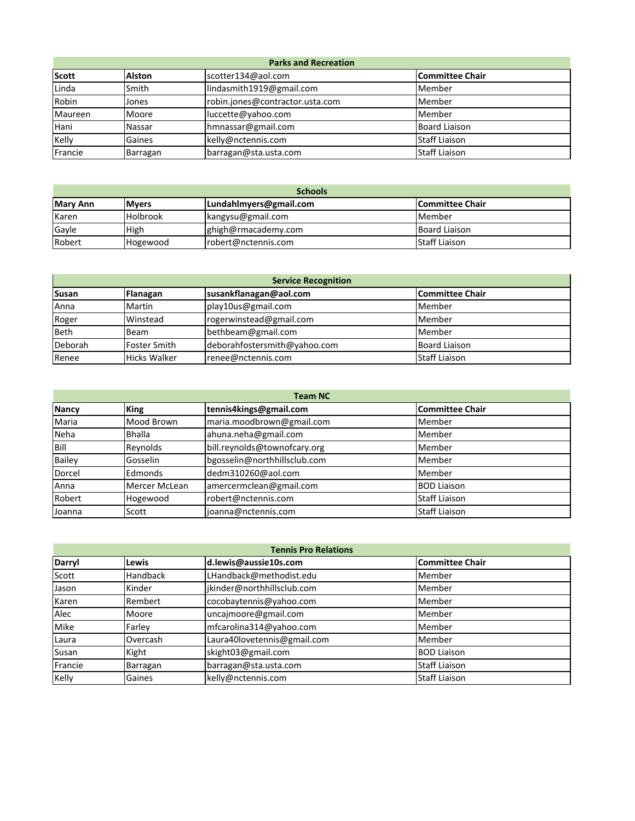| <b>Parks and Recreation</b> |               |                                 |                      |
|-----------------------------|---------------|---------------------------------|----------------------|
| Scott                       | <b>Alston</b> | scotter134@aol.com              | Committee Chair      |
| Linda                       | Smith         | lindasmith1919@gmail.com        | Member               |
| Robin                       | Jones         | robin.jones@contractor.usta.com | Member               |
| Maureen                     | Moore         | luccette@yahoo.com              | Member               |
| Hani                        | <b>Nassar</b> | hmnassar@gmail.com              | <b>Board Liaison</b> |
| Kelly                       | Gaines        | kelly@nctennis.com              | <b>Staff Liaison</b> |
| Francie                     | Barragan      | barragan@sta.usta.com           | <b>Staff Liaison</b> |

| <b>Schools</b>  |                 |                        |                         |
|-----------------|-----------------|------------------------|-------------------------|
| <b>Mary Ann</b> | <b>IMvers</b>   | Lundahlmyers@gmail.com | <b>ICommittee Chair</b> |
| <b>Karen</b>    | <b>Holbrook</b> | kangysu@gmail.com      | <b>Member</b>           |
| Gayle           | High            | ghigh@rmacademy.com    | <b>Board Liaison</b>    |
| Robert          | Hogewood        | robert@nctennis.com    | <b>Staff Liaison</b>    |

| <b>Service Recognition</b> |                     |                              |                      |
|----------------------------|---------------------|------------------------------|----------------------|
| <b>Susan</b>               | Flanagan            | susankflanagan@aol.com       | Committee Chair      |
| Anna                       | Martin              | play10us@gmail.com           | Member               |
| Roger                      | Winstead            | rogerwinstead@gmail.com      | Member               |
| <b>Beth</b>                | Beam                | bethbeam@gmail.com           | Member               |
| Deborah                    | <b>Foster Smith</b> | deborahfostersmith@yahoo.com | <b>Board Liaison</b> |
| Renee                      | <b>Hicks Walker</b> | renee@nctennis.com           | <b>Staff Liaison</b> |

| <b>Team NC</b> |               |                              |                        |
|----------------|---------------|------------------------------|------------------------|
| <b>Nancy</b>   | <b>King</b>   | tennis4kings@gmail.com       | <b>Committee Chair</b> |
| Maria          | Mood Brown    | maria.moodbrown@gmail.com    | Member                 |
| Neha           | <b>Bhalla</b> | ahuna.neha@gmail.com         | Member                 |
| Bill           | Reynolds      | bill.reynolds@townofcary.org | Member                 |
| Bailey         | Gosselin      | bgosselin@northhillsclub.com | Member                 |
| Dorcel         | Edmonds       | dedm310260@aol.com           | Member                 |
| Anna           | Mercer McLean | amercermclean@gmail.com      | <b>BOD Liaison</b>     |
| Robert         | Hogewood      | robert@nctennis.com          | <b>Staff Liaison</b>   |
| Joanna         | Scott         | joanna@nctennis.com          | <b>Staff Liaison</b>   |

| <b>Tennis Pro Relations</b> |                 |                             |                        |  |  |
|-----------------------------|-----------------|-----------------------------|------------------------|--|--|
| <b>Darryl</b>               | Lewis           | d.lewis@aussie10s.com       | <b>Committee Chair</b> |  |  |
| Scott                       | <b>Handback</b> | LHandback@methodist.edu     | Member                 |  |  |
| Jason                       | Kinder          | jkinder@northhillsclub.com  | Member                 |  |  |
| Karen                       | Rembert         | cocobaytennis@yahoo.com     | Member                 |  |  |
| Alec                        | Moore           | uncajmoore@gmail.com        | Member                 |  |  |
| Mike                        | Farley          | mfcarolina314@yahoo.com     | Member                 |  |  |
| Laura                       | Overcash        | Laura40lovetennis@gmail.com | Member                 |  |  |
| Susan                       | Kight           | skight03@gmail.com          | <b>BOD Liaison</b>     |  |  |
| Francie                     | Barragan        | barragan@sta.usta.com       | <b>Staff Liaison</b>   |  |  |
| Kelly                       | Gaines          | kelly@nctennis.com          | <b>Staff Liaison</b>   |  |  |